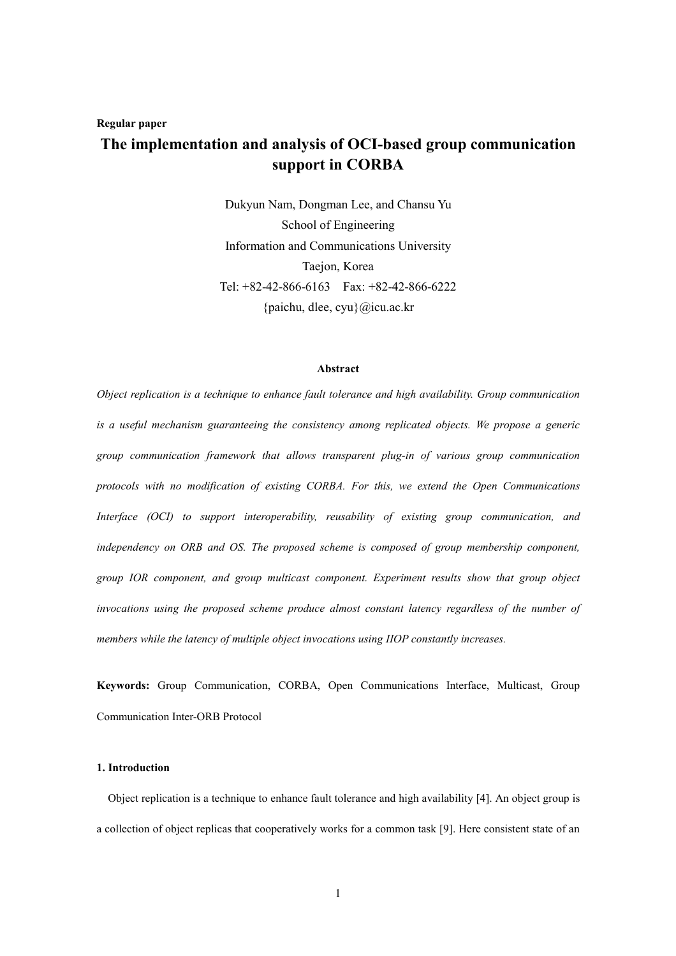# **Regular paper**

# **The implementation and analysis of OCI-based group communication support in CORBA**

Dukyun Nam, Dongman Lee, and Chansu Yu School of Engineering Information and Communications University Taejon, Korea Tel: +82-42-866-6163 Fax: +82-42-866-6222 {paichu, dlee, cyu}@icu.ac.kr

## **Abstract**

*Object replication is a technique to enhance fault tolerance and high availability. Group communication is a useful mechanism guaranteeing the consistency among replicated objects. We propose a generic group communication framework that allows transparent plug-in of various group communication protocols with no modification of existing CORBA. For this, we extend the Open Communications Interface (OCI) to support interoperability, reusability of existing group communication, and independency on ORB and OS. The proposed scheme is composed of group membership component, group IOR component, and group multicast component. Experiment results show that group object invocations using the proposed scheme produce almost constant latency regardless of the number of members while the latency of multiple object invocations using IIOP constantly increases.* 

**Keywords:** Group Communication, CORBA, Open Communications Interface, Multicast, Group Communication Inter-ORB Protocol

# **1. Introduction**

Object replication is a technique to enhance fault tolerance and high availability [4]. An object group is a collection of object replicas that cooperatively works for a common task [9]. Here consistent state of an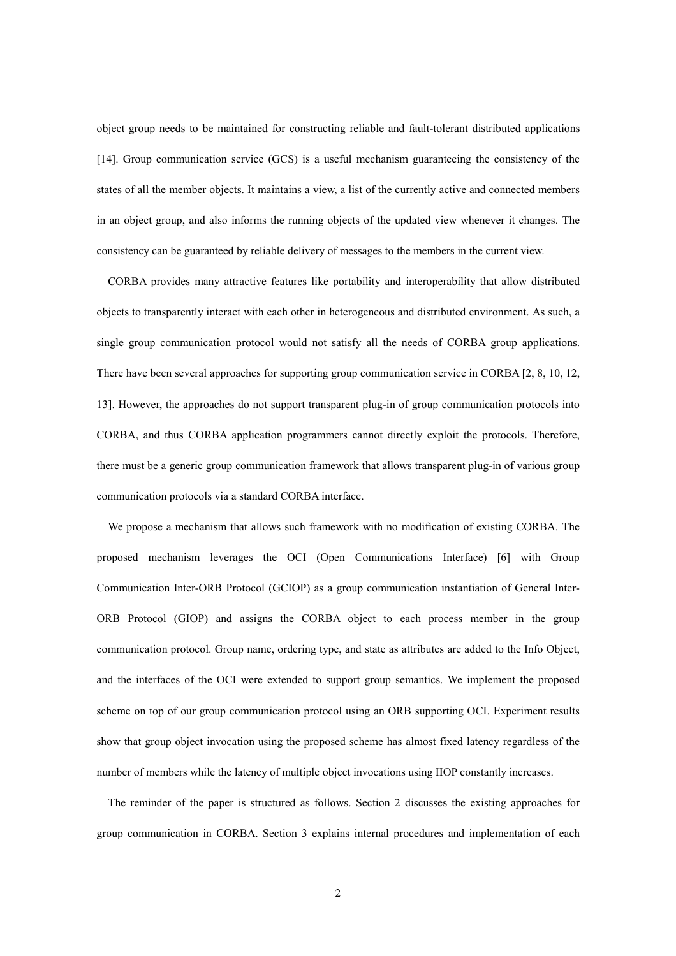object group needs to be maintained for constructing reliable and fault-tolerant distributed applications [14]. Group communication service (GCS) is a useful mechanism guaranteeing the consistency of the states of all the member objects. It maintains a view, a list of the currently active and connected members in an object group, and also informs the running objects of the updated view whenever it changes. The consistency can be guaranteed by reliable delivery of messages to the members in the current view.

CORBA provides many attractive features like portability and interoperability that allow distributed objects to transparently interact with each other in heterogeneous and distributed environment. As such, a single group communication protocol would not satisfy all the needs of CORBA group applications. There have been several approaches for supporting group communication service in CORBA [2, 8, 10, 12, 13]. However, the approaches do not support transparent plug-in of group communication protocols into CORBA, and thus CORBA application programmers cannot directly exploit the protocols. Therefore, there must be a generic group communication framework that allows transparent plug-in of various group communication protocols via a standard CORBA interface.

We propose a mechanism that allows such framework with no modification of existing CORBA. The proposed mechanism leverages the OCI (Open Communications Interface) [6] with Group Communication Inter-ORB Protocol (GCIOP) as a group communication instantiation of General Inter-ORB Protocol (GIOP) and assigns the CORBA object to each process member in the group communication protocol. Group name, ordering type, and state as attributes are added to the Info Object, and the interfaces of the OCI were extended to support group semantics. We implement the proposed scheme on top of our group communication protocol using an ORB supporting OCI. Experiment results show that group object invocation using the proposed scheme has almost fixed latency regardless of the number of members while the latency of multiple object invocations using IIOP constantly increases.

The reminder of the paper is structured as follows. Section 2 discusses the existing approaches for group communication in CORBA. Section 3 explains internal procedures and implementation of each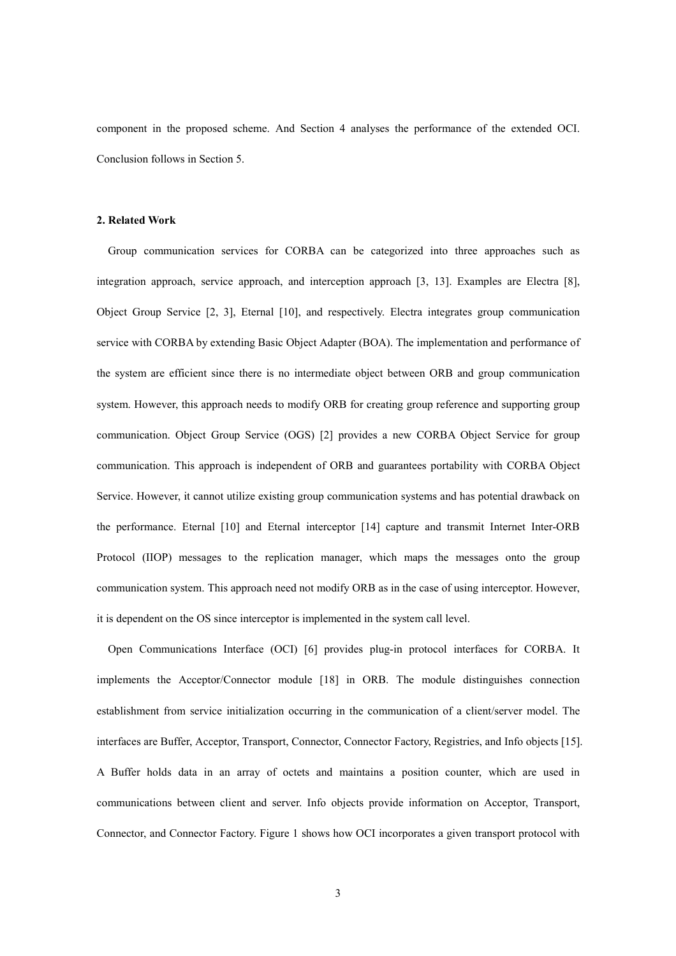component in the proposed scheme. And Section 4 analyses the performance of the extended OCI. Conclusion follows in Section 5.

# **2. Related Work**

Group communication services for CORBA can be categorized into three approaches such as integration approach, service approach, and interception approach [3, 13]. Examples are Electra [8], Object Group Service [2, 3], Eternal [10], and respectively. Electra integrates group communication service with CORBA by extending Basic Object Adapter (BOA). The implementation and performance of the system are efficient since there is no intermediate object between ORB and group communication system. However, this approach needs to modify ORB for creating group reference and supporting group communication. Object Group Service (OGS) [2] provides a new CORBA Object Service for group communication. This approach is independent of ORB and guarantees portability with CORBA Object Service. However, it cannot utilize existing group communication systems and has potential drawback on the performance. Eternal [10] and Eternal interceptor [14] capture and transmit Internet Inter-ORB Protocol (IIOP) messages to the replication manager, which maps the messages onto the group communication system. This approach need not modify ORB as in the case of using interceptor. However, it is dependent on the OS since interceptor is implemented in the system call level.

Open Communications Interface (OCI) [6] provides plug-in protocol interfaces for CORBA. It implements the Acceptor/Connector module [18] in ORB. The module distinguishes connection establishment from service initialization occurring in the communication of a client/server model. The interfaces are Buffer, Acceptor, Transport, Connector, Connector Factory, Registries, and Info objects [15]. A Buffer holds data in an array of octets and maintains a position counter, which are used in communications between client and server. Info objects provide information on Acceptor, Transport, Connector, and Connector Factory. Figure 1 shows how OCI incorporates a given transport protocol with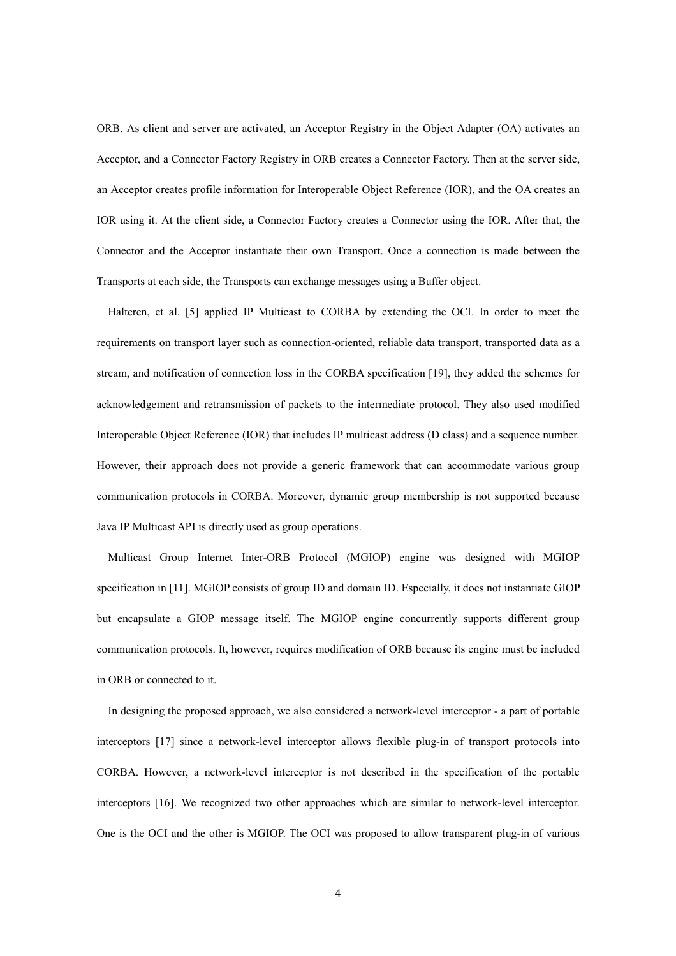ORB. As client and server are activated, an Acceptor Registry in the Object Adapter (OA) activates an Acceptor, and a Connector Factory Registry in ORB creates a Connector Factory. Then at the server side, an Acceptor creates profile information for Interoperable Object Reference (IOR), and the OA creates an IOR using it. At the client side, a Connector Factory creates a Connector using the IOR. After that, the Connector and the Acceptor instantiate their own Transport. Once a connection is made between the Transports at each side, the Transports can exchange messages using a Buffer object.

Halteren, et al. [5] applied IP Multicast to CORBA by extending the OCI. In order to meet the requirements on transport layer such as connection-oriented, reliable data transport, transported data as a stream, and notification of connection loss in the CORBA specification [19], they added the schemes for acknowledgement and retransmission of packets to the intermediate protocol. They also used modified Interoperable Object Reference (IOR) that includes IP multicast address (D class) and a sequence number. However, their approach does not provide a generic framework that can accommodate various group communication protocols in CORBA. Moreover, dynamic group membership is not supported because Java IP Multicast API is directly used as group operations.

Multicast Group Internet Inter-ORB Protocol (MGIOP) engine was designed with MGIOP specification in [11]. MGIOP consists of group ID and domain ID. Especially, it does not instantiate GIOP but encapsulate a GIOP message itself. The MGIOP engine concurrently supports different group communication protocols. It, however, requires modification of ORB because its engine must be included in ORB or connected to it.

In designing the proposed approach, we also considered a network-level interceptor - a part of portable interceptors [17] since a network-level interceptor allows flexible plug-in of transport protocols into CORBA. However, a network-level interceptor is not described in the specification of the portable interceptors [16]. We recognized two other approaches which are similar to network-level interceptor. One is the OCI and the other is MGIOP. The OCI was proposed to allow transparent plug-in of various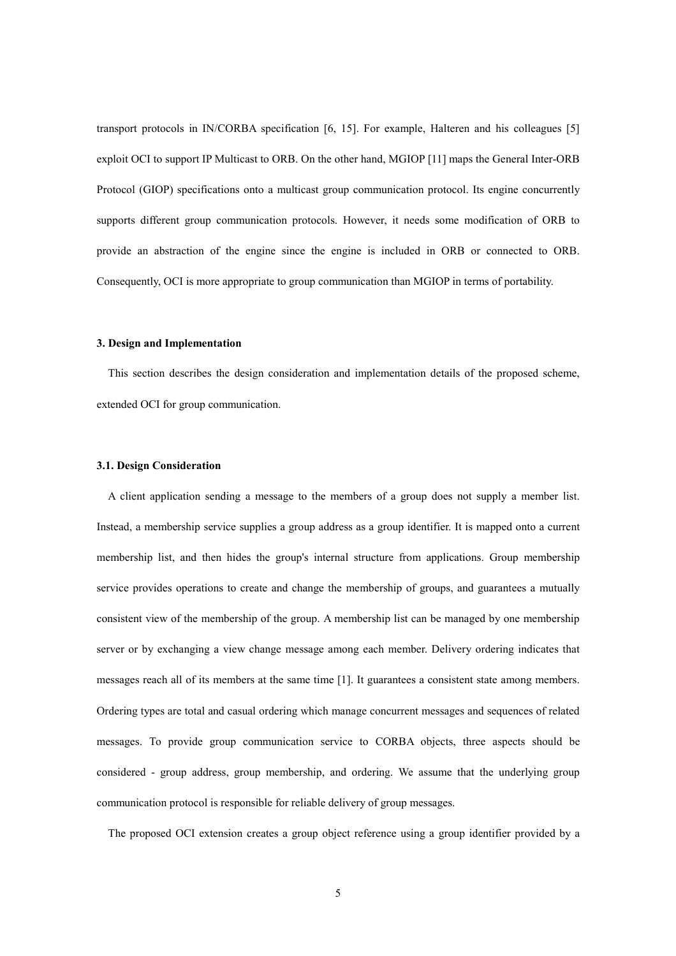transport protocols in IN/CORBA specification [6, 15]. For example, Halteren and his colleagues [5] exploit OCI to support IP Multicast to ORB. On the other hand, MGIOP [11] maps the General Inter-ORB Protocol (GIOP) specifications onto a multicast group communication protocol. Its engine concurrently supports different group communication protocols. However, it needs some modification of ORB to provide an abstraction of the engine since the engine is included in ORB or connected to ORB. Consequently, OCI is more appropriate to group communication than MGIOP in terms of portability.

#### **3. Design and Implementation**

This section describes the design consideration and implementation details of the proposed scheme, extended OCI for group communication.

## **3.1. Design Consideration**

A client application sending a message to the members of a group does not supply a member list. Instead, a membership service supplies a group address as a group identifier. It is mapped onto a current membership list, and then hides the group's internal structure from applications. Group membership service provides operations to create and change the membership of groups, and guarantees a mutually consistent view of the membership of the group. A membership list can be managed by one membership server or by exchanging a view change message among each member. Delivery ordering indicates that messages reach all of its members at the same time [1]. It guarantees a consistent state among members. Ordering types are total and casual ordering which manage concurrent messages and sequences of related messages. To provide group communication service to CORBA objects, three aspects should be considered - group address, group membership, and ordering. We assume that the underlying group communication protocol is responsible for reliable delivery of group messages.

The proposed OCI extension creates a group object reference using a group identifier provided by a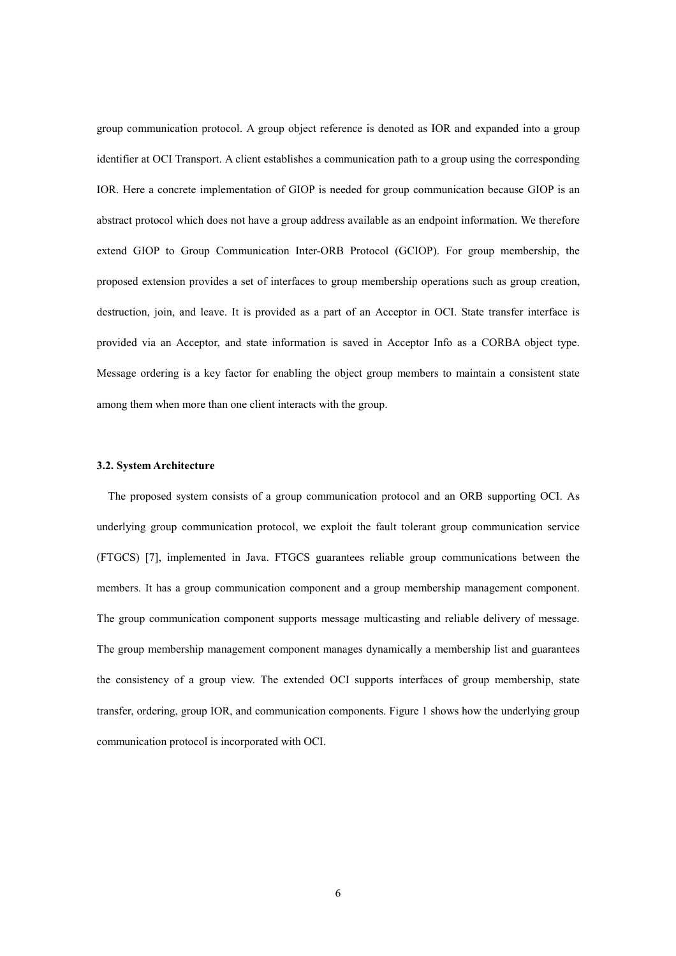group communication protocol. A group object reference is denoted as IOR and expanded into a group identifier at OCI Transport. A client establishes a communication path to a group using the corresponding IOR. Here a concrete implementation of GIOP is needed for group communication because GIOP is an abstract protocol which does not have a group address available as an endpoint information. We therefore extend GIOP to Group Communication Inter-ORB Protocol (GCIOP). For group membership, the proposed extension provides a set of interfaces to group membership operations such as group creation, destruction, join, and leave. It is provided as a part of an Acceptor in OCI. State transfer interface is provided via an Acceptor, and state information is saved in Acceptor Info as a CORBA object type. Message ordering is a key factor for enabling the object group members to maintain a consistent state among them when more than one client interacts with the group.

## **3.2. System Architecture**

The proposed system consists of a group communication protocol and an ORB supporting OCI. As underlying group communication protocol, we exploit the fault tolerant group communication service (FTGCS) [7], implemented in Java. FTGCS guarantees reliable group communications between the members. It has a group communication component and a group membership management component. The group communication component supports message multicasting and reliable delivery of message. The group membership management component manages dynamically a membership list and guarantees the consistency of a group view. The extended OCI supports interfaces of group membership, state transfer, ordering, group IOR, and communication components. Figure 1 shows how the underlying group communication protocol is incorporated with OCI.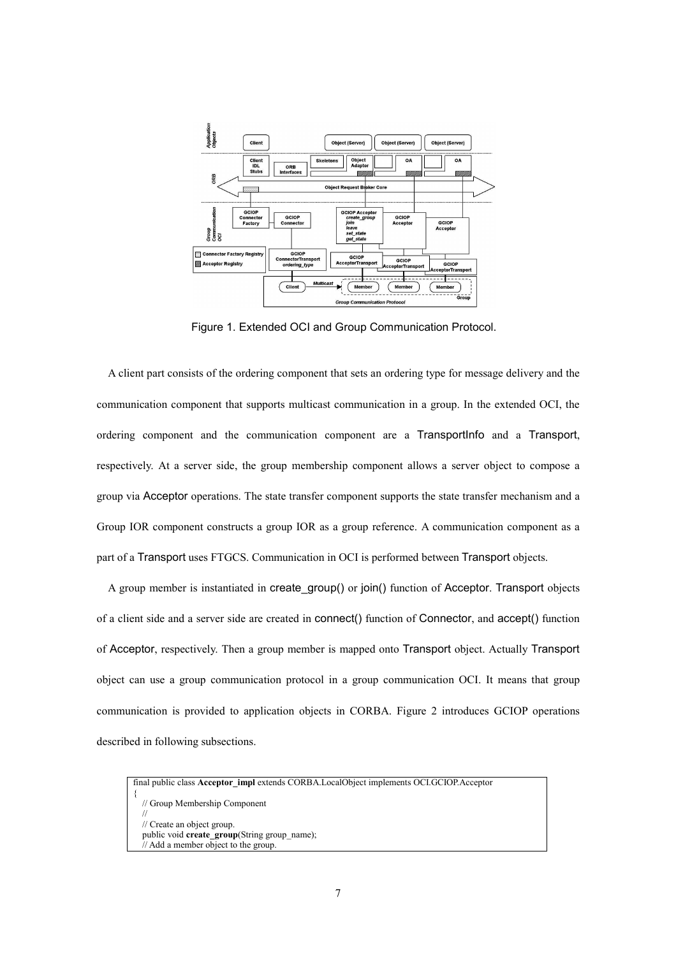

Figure 1. Extended OCI and Group Communication Protocol.

A client part consists of the ordering component that sets an ordering type for message delivery and the communication component that supports multicast communication in a group. In the extended OCI, the ordering component and the communication component are a TransportInfo and a Transport, respectively. At a server side, the group membership component allows a server object to compose a group via Acceptor operations. The state transfer component supports the state transfer mechanism and a Group IOR component constructs a group IOR as a group reference. A communication component as a part of a Transport uses FTGCS. Communication in OCI is performed between Transport objects.

A group member is instantiated in create\_group() or join() function of Acceptor. Transport objects of a client side and a server side are created in connect() function of Connector, and accept() function of Acceptor, respectively. Then a group member is mapped onto Transport object. Actually Transport object can use a group communication protocol in a group communication OCI. It means that group communication is provided to application objects in CORBA. Figure 2 introduces GCIOP operations described in following subsections.

```
final public class Acceptor_impl extends CORBA.LocalObject implements OCI.GCIOP.Acceptor 
{ 
   // Group Membership Component 
 // 
   // Create an object group. 
  public void create_group(String group_name);
   // Add a member object to the group.
```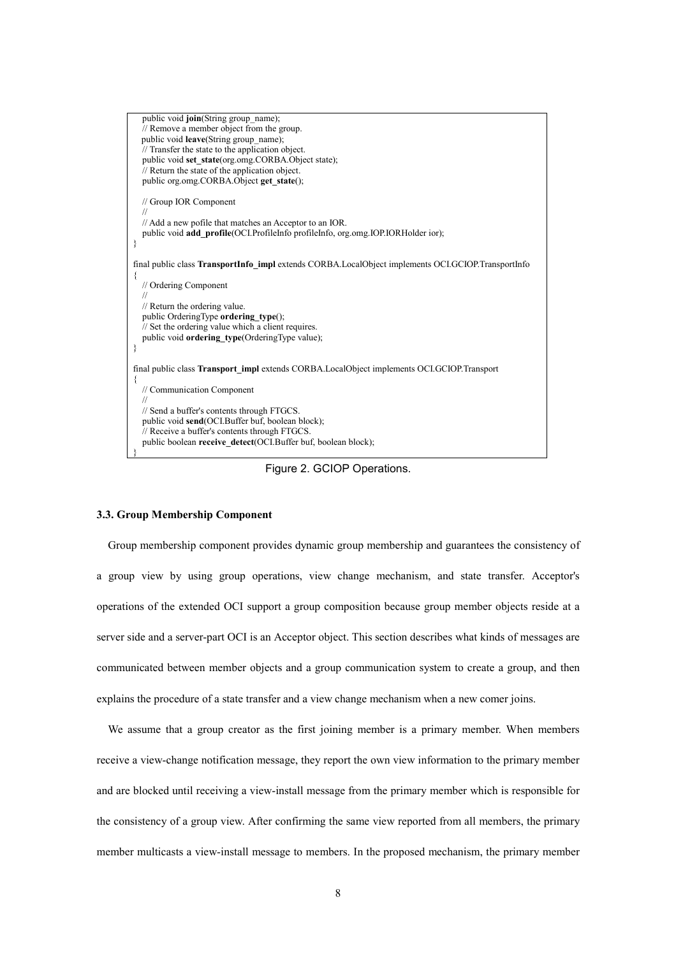| public void join(String group name);<br>// Remove a member object from the group.<br>public void leave(String group name);<br>// Transfer the state to the application object.<br>public void set_state(org.omg.CORBA.Object state);<br>// Return the state of the application object.<br>public org.omg.CORBA.Object get state(); |
|------------------------------------------------------------------------------------------------------------------------------------------------------------------------------------------------------------------------------------------------------------------------------------------------------------------------------------|
| // Group IOR Component                                                                                                                                                                                                                                                                                                             |
| // Add a new pofile that matches an Acceptor to an IOR.<br>public void <b>add</b> profile(OCI.ProfileInfo profileInfo, org.omg.IOP.IORHolder ior);                                                                                                                                                                                 |
| final public class TransportInfo impl extends CORBA.LocalObject implements OCLGCIOP.TransportInfo                                                                                                                                                                                                                                  |
| // Ordering Component                                                                                                                                                                                                                                                                                                              |
| // Return the ordering value.<br>public OrderingType ordering type();                                                                                                                                                                                                                                                              |
| // Set the ordering value which a client requires.                                                                                                                                                                                                                                                                                 |
| public void ordering_type(OrderingType value);                                                                                                                                                                                                                                                                                     |
| final public class <b>Transport impl</b> extends CORBA.LocalObject implements OCLGCIOP.Transport                                                                                                                                                                                                                                   |
| ∤<br>// Communication Component                                                                                                                                                                                                                                                                                                    |
| // Send a buffer's contents through FTGCS.                                                                                                                                                                                                                                                                                         |
| public void send(OCI.Buffer buf, boolean block);<br>// Receive a buffer's contents through FTGCS.                                                                                                                                                                                                                                  |
| public boolean receive_detect(OCI.Buffer buf, boolean block);                                                                                                                                                                                                                                                                      |

Figure 2. GCIOP Operations.

## **3.3. Group Membership Component**

Group membership component provides dynamic group membership and guarantees the consistency of a group view by using group operations, view change mechanism, and state transfer. Acceptor's operations of the extended OCI support a group composition because group member objects reside at a server side and a server-part OCI is an Acceptor object. This section describes what kinds of messages are communicated between member objects and a group communication system to create a group, and then explains the procedure of a state transfer and a view change mechanism when a new comer joins.

We assume that a group creator as the first joining member is a primary member. When members receive a view-change notification message, they report the own view information to the primary member and are blocked until receiving a view-install message from the primary member which is responsible for the consistency of a group view. After confirming the same view reported from all members, the primary member multicasts a view-install message to members. In the proposed mechanism, the primary member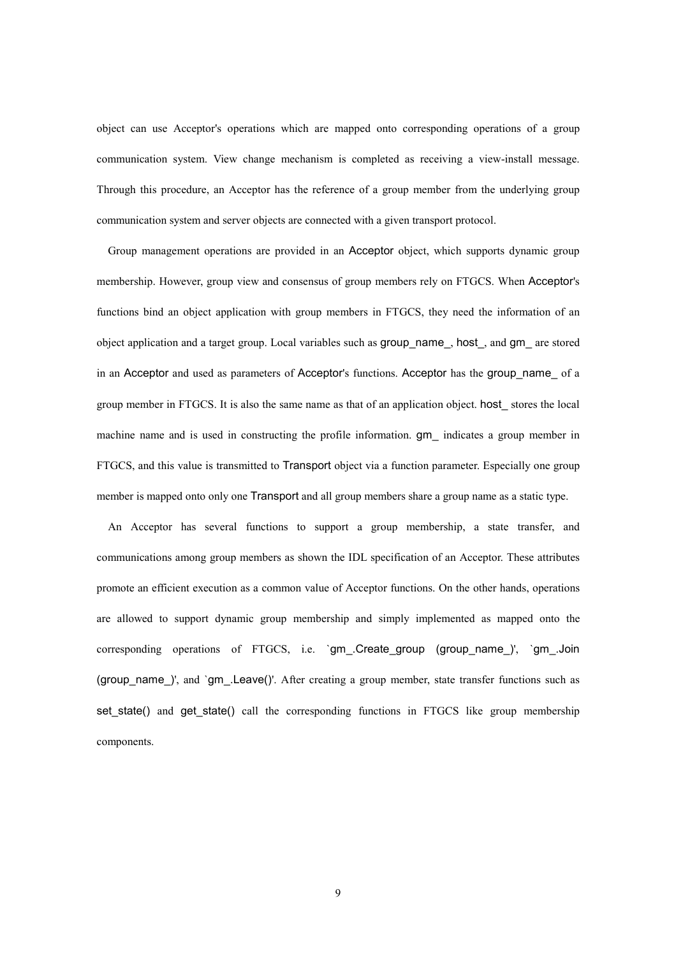object can use Acceptor's operations which are mapped onto corresponding operations of a group communication system. View change mechanism is completed as receiving a view-install message. Through this procedure, an Acceptor has the reference of a group member from the underlying group communication system and server objects are connected with a given transport protocol.

Group management operations are provided in an Acceptor object, which supports dynamic group membership. However, group view and consensus of group members rely on FTGCS. When Acceptor's functions bind an object application with group members in FTGCS, they need the information of an object application and a target group. Local variables such as group\_name\_, host\_, and gm\_ are stored in an Acceptor and used as parameters of Acceptor's functions. Acceptor has the group name of a group member in FTGCS. It is also the same name as that of an application object. host\_ stores the local machine name and is used in constructing the profile information. gm\_ indicates a group member in FTGCS, and this value is transmitted to Transport object via a function parameter. Especially one group member is mapped onto only one Transport and all group members share a group name as a static type.

An Acceptor has several functions to support a group membership, a state transfer, and communications among group members as shown the IDL specification of an Acceptor. These attributes promote an efficient execution as a common value of Acceptor functions. On the other hands, operations are allowed to support dynamic group membership and simply implemented as mapped onto the corresponding operations of FTGCS, i.e. `gm\_.Create\_group (group\_name\_)', `gm\_.Join (group name )', and `gm .Leave()'. After creating a group member, state transfer functions such as set state() and get state() call the corresponding functions in FTGCS like group membership components.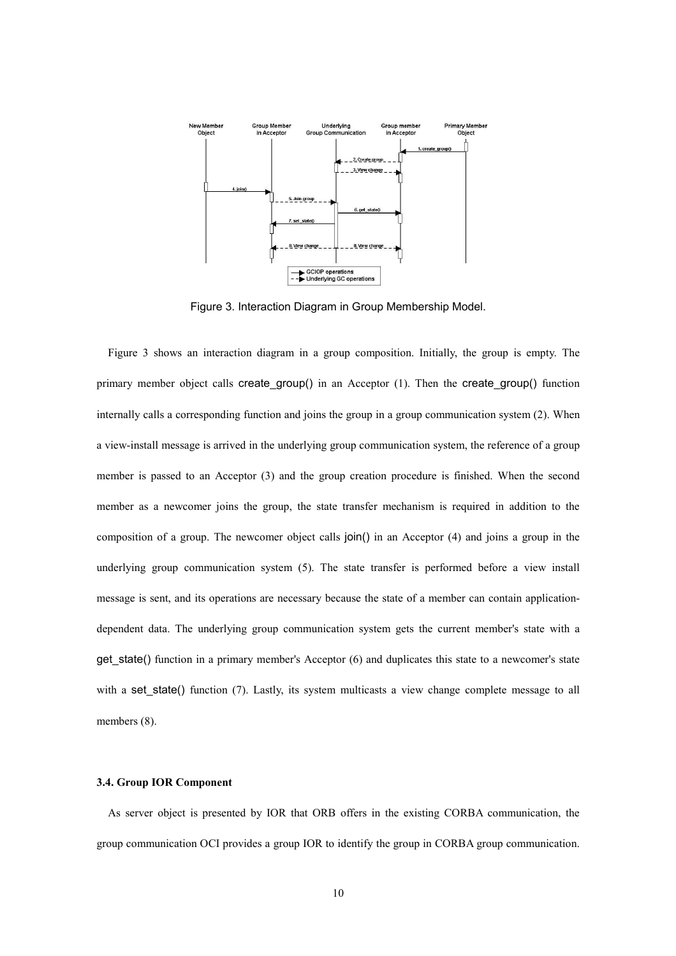

Figure 3. Interaction Diagram in Group Membership Model.

Figure 3 shows an interaction diagram in a group composition. Initially, the group is empty. The primary member object calls create  $group()$  in an Acceptor  $(1)$ . Then the create  $group()$  function internally calls a corresponding function and joins the group in a group communication system (2). When a view-install message is arrived in the underlying group communication system, the reference of a group member is passed to an Acceptor (3) and the group creation procedure is finished. When the second member as a newcomer joins the group, the state transfer mechanism is required in addition to the composition of a group. The newcomer object calls join() in an Acceptor (4) and joins a group in the underlying group communication system (5). The state transfer is performed before a view install message is sent, and its operations are necessary because the state of a member can contain applicationdependent data. The underlying group communication system gets the current member's state with a get state() function in a primary member's Acceptor  $(6)$  and duplicates this state to a newcomer's state with a set state() function (7). Lastly, its system multicasts a view change complete message to all members  $(8)$ .

## **3.4. Group IOR Component**

As server object is presented by IOR that ORB offers in the existing CORBA communication, the group communication OCI provides a group IOR to identify the group in CORBA group communication.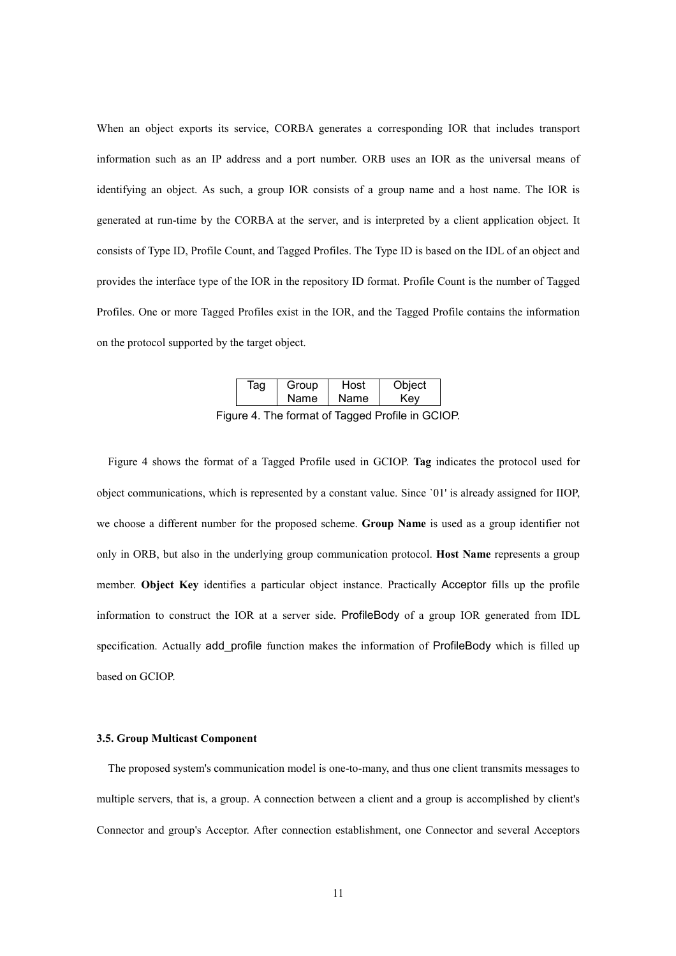When an object exports its service, CORBA generates a corresponding IOR that includes transport information such as an IP address and a port number. ORB uses an IOR as the universal means of identifying an object. As such, a group IOR consists of a group name and a host name. The IOR is generated at run-time by the CORBA at the server, and is interpreted by a client application object. It consists of Type ID, Profile Count, and Tagged Profiles. The Type ID is based on the IDL of an object and provides the interface type of the IOR in the repository ID format. Profile Count is the number of Tagged Profiles. One or more Tagged Profiles exist in the IOR, and the Tagged Profile contains the information on the protocol supported by the target object.

| ag | Group       | Host |     |  |  |
|----|-------------|------|-----|--|--|
|    | <b>Name</b> | Name | Kev |  |  |
|    |             |      |     |  |  |

Figure 4. The format of Tagged Profile in GCIOP.

Figure 4 shows the format of a Tagged Profile used in GCIOP. **Tag** indicates the protocol used for object communications, which is represented by a constant value. Since `01' is already assigned for IIOP, we choose a different number for the proposed scheme. **Group Name** is used as a group identifier not only in ORB, but also in the underlying group communication protocol. **Host Name** represents a group member. **Object Key** identifies a particular object instance. Practically Acceptor fills up the profile information to construct the IOR at a server side. ProfileBody of a group IOR generated from IDL specification. Actually add profile function makes the information of ProfileBody which is filled up based on GCIOP.

#### **3.5. Group Multicast Component**

The proposed system's communication model is one-to-many, and thus one client transmits messages to multiple servers, that is, a group. A connection between a client and a group is accomplished by client's Connector and group's Acceptor. After connection establishment, one Connector and several Acceptors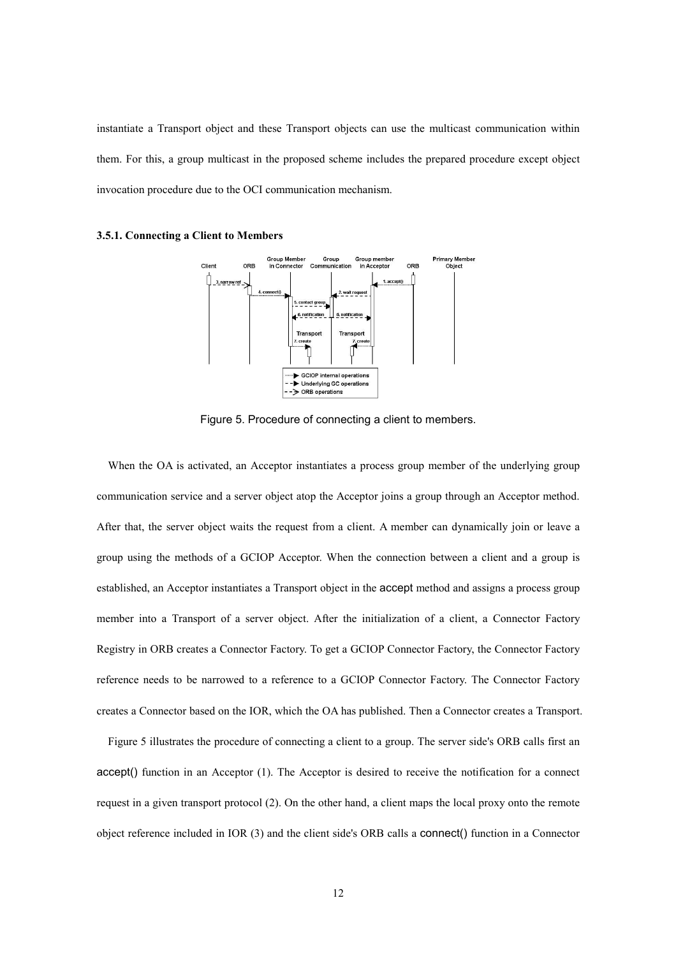instantiate a Transport object and these Transport objects can use the multicast communication within them. For this, a group multicast in the proposed scheme includes the prepared procedure except object invocation procedure due to the OCI communication mechanism.



**3.5.1. Connecting a Client to Members** 

Figure 5. Procedure of connecting a client to members.

When the OA is activated, an Acceptor instantiates a process group member of the underlying group communication service and a server object atop the Acceptor joins a group through an Acceptor method. After that, the server object waits the request from a client. A member can dynamically join or leave a group using the methods of a GCIOP Acceptor. When the connection between a client and a group is established, an Acceptor instantiates a Transport object in the accept method and assigns a process group member into a Transport of a server object. After the initialization of a client, a Connector Factory Registry in ORB creates a Connector Factory. To get a GCIOP Connector Factory, the Connector Factory reference needs to be narrowed to a reference to a GCIOP Connector Factory. The Connector Factory creates a Connector based on the IOR, which the OA has published. Then a Connector creates a Transport.

Figure 5 illustrates the procedure of connecting a client to a group. The server side's ORB calls first an accept() function in an Acceptor (1). The Acceptor is desired to receive the notification for a connect request in a given transport protocol (2). On the other hand, a client maps the local proxy onto the remote object reference included in IOR (3) and the client side's ORB calls a connect() function in a Connector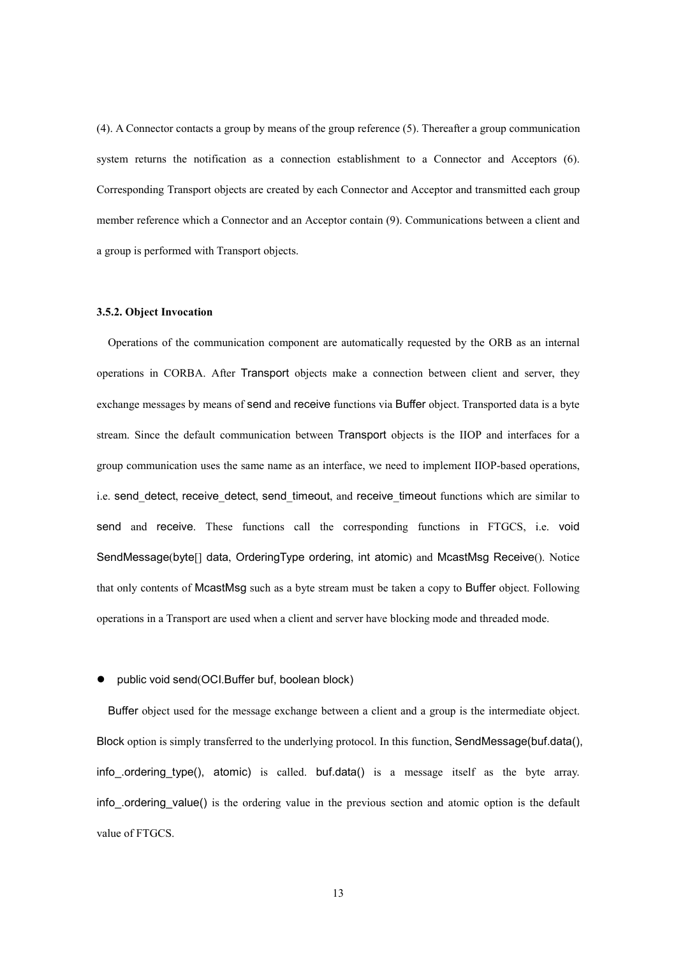(4). A Connector contacts a group by means of the group reference (5). Thereafter a group communication system returns the notification as a connection establishment to a Connector and Acceptors (6). Corresponding Transport objects are created by each Connector and Acceptor and transmitted each group member reference which a Connector and an Acceptor contain (9). Communications between a client and a group is performed with Transport objects.

#### **3.5.2. Object Invocation**

Operations of the communication component are automatically requested by the ORB as an internal operations in CORBA. After Transport objects make a connection between client and server, they exchange messages by means of send and receive functions via Buffer object. Transported data is a byte stream. Since the default communication between Transport objects is the IIOP and interfaces for a group communication uses the same name as an interface, we need to implement IIOP-based operations, i.e. send detect, receive detect, send timeout, and receive timeout functions which are similar to send and receive. These functions call the corresponding functions in FTGCS, i.e. void SendMessage(byte[] data, OrderingType ordering, int atomic) and McastMsg Receive(). Notice that only contents of McastMsg such as a byte stream must be taken a copy to Buffer object. Following operations in a Transport are used when a client and server have blocking mode and threaded mode.

#### public void send(OCI.Buffer buf, boolean block)

Buffer object used for the message exchange between a client and a group is the intermediate object. Block option is simply transferred to the underlying protocol. In this function, SendMessage(buf.data(), info\_.ordering\_type(), atomic) is called. buf.data() is a message itself as the byte array. info .ordering value() is the ordering value in the previous section and atomic option is the default value of FTGCS.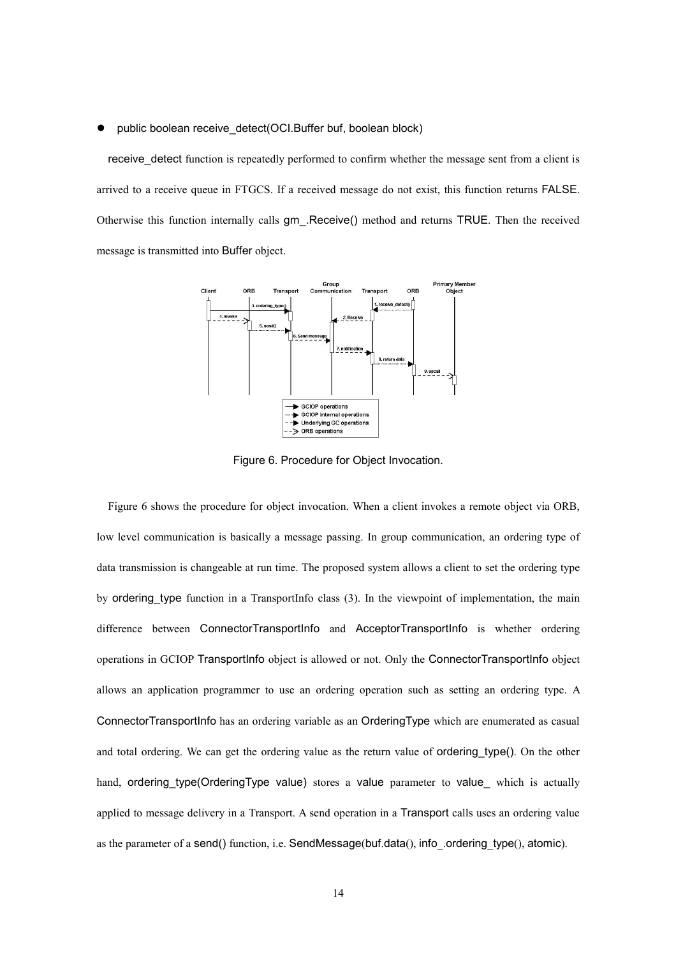#### public boolean receive\_detect(OCI.Buffer buf, boolean block)

receive detect function is repeatedly performed to confirm whether the message sent from a client is arrived to a receive queue in FTGCS. If a received message do not exist, this function returns FALSE. Otherwise this function internally calls gm\_.Receive() method and returns TRUE. Then the received message is transmitted into Buffer object.



Figure 6. Procedure for Object Invocation.

Figure 6 shows the procedure for object invocation. When a client invokes a remote object via ORB, low level communication is basically a message passing. In group communication, an ordering type of data transmission is changeable at run time. The proposed system allows a client to set the ordering type by ordering\_type function in a TransportInfo class (3). In the viewpoint of implementation, the main difference between ConnectorTransportInfo and AcceptorTransportInfo is whether ordering operations in GCIOP TransportInfo object is allowed or not. Only the ConnectorTransportInfo object allows an application programmer to use an ordering operation such as setting an ordering type. A ConnectorTransportInfo has an ordering variable as an OrderingType which are enumerated as casual and total ordering. We can get the ordering value as the return value of **ordering** type(). On the other hand, ordering type(OrderingType value) stores a value parameter to value which is actually applied to message delivery in a Transport. A send operation in a Transport calls uses an ordering value as the parameter of a send() function, i.e. SendMessage(buf.data(), info .ordering type(), atomic).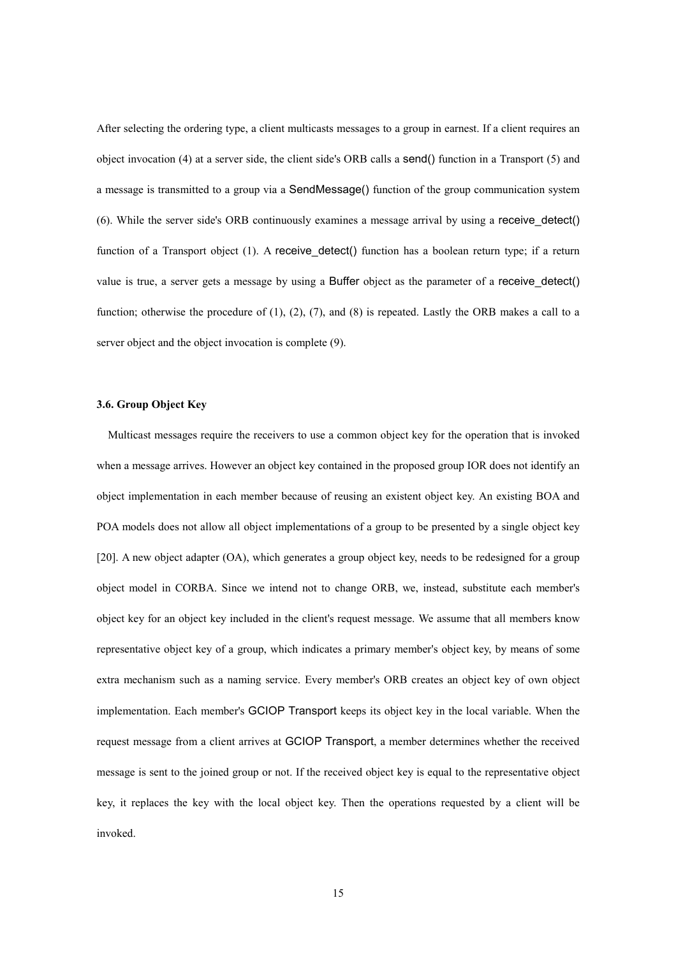After selecting the ordering type, a client multicasts messages to a group in earnest. If a client requires an object invocation (4) at a server side, the client side's ORB calls a send() function in a Transport (5) and a message is transmitted to a group via a SendMessage() function of the group communication system (6). While the server side's ORB continuously examines a message arrival by using a receive\_detect() function of a Transport object (1). A receive detect() function has a boolean return type; if a return value is true, a server gets a message by using a Buffer object as the parameter of a receive\_detect() function; otherwise the procedure of  $(1)$ ,  $(2)$ ,  $(7)$ , and  $(8)$  is repeated. Lastly the ORB makes a call to a server object and the object invocation is complete (9).

# **3.6. Group Object Key**

Multicast messages require the receivers to use a common object key for the operation that is invoked when a message arrives. However an object key contained in the proposed group IOR does not identify an object implementation in each member because of reusing an existent object key. An existing BOA and POA models does not allow all object implementations of a group to be presented by a single object key [20]. A new object adapter (OA), which generates a group object key, needs to be redesigned for a group object model in CORBA. Since we intend not to change ORB, we, instead, substitute each member's object key for an object key included in the client's request message. We assume that all members know representative object key of a group, which indicates a primary member's object key, by means of some extra mechanism such as a naming service. Every member's ORB creates an object key of own object implementation. Each member's GCIOP Transport keeps its object key in the local variable. When the request message from a client arrives at GCIOP Transport, a member determines whether the received message is sent to the joined group or not. If the received object key is equal to the representative object key, it replaces the key with the local object key. Then the operations requested by a client will be invoked.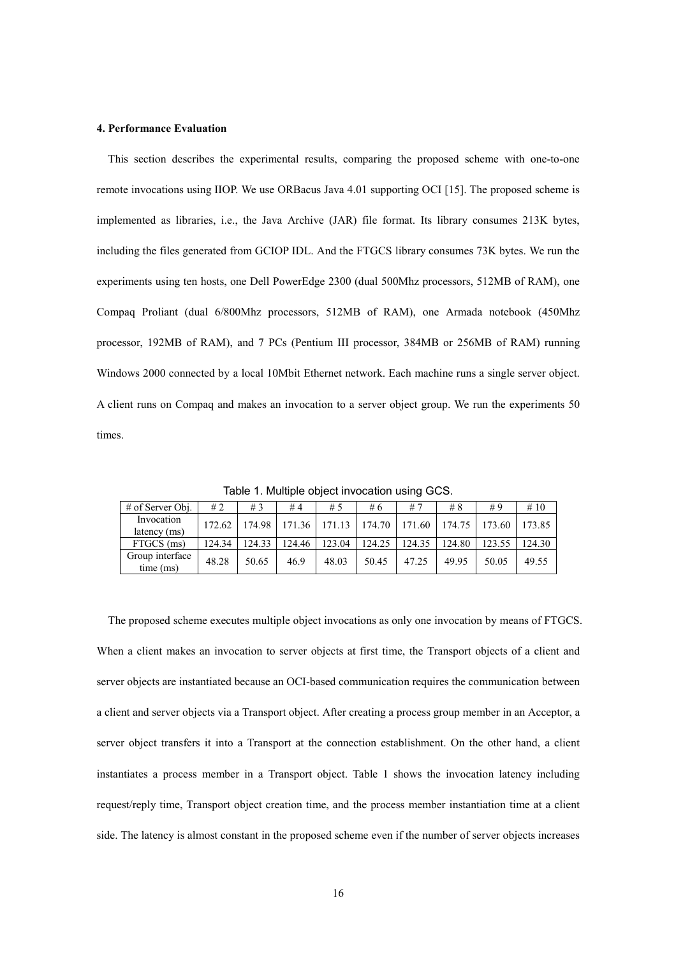#### **4. Performance Evaluation**

This section describes the experimental results, comparing the proposed scheme with one-to-one remote invocations using IIOP. We use ORBacus Java 4.01 supporting OCI [15]. The proposed scheme is implemented as libraries, i.e., the Java Archive (JAR) file format. Its library consumes 213K bytes, including the files generated from GCIOP IDL. And the FTGCS library consumes 73K bytes. We run the experiments using ten hosts, one Dell PowerEdge 2300 (dual 500Mhz processors, 512MB of RAM), one Compaq Proliant (dual 6/800Mhz processors, 512MB of RAM), one Armada notebook (450Mhz processor, 192MB of RAM), and 7 PCs (Pentium III processor, 384MB or 256MB of RAM) running Windows 2000 connected by a local 10Mbit Ethernet network. Each machine runs a single server object. A client runs on Compaq and makes an invocation to a server object group. We run the experiments 50 times.

| $#$ of Server Obj.           | #2     | #3     | #4     | #5     | #6     | #7     | #8     | #9     | #10    |
|------------------------------|--------|--------|--------|--------|--------|--------|--------|--------|--------|
| Invocation<br>latency (ms)   | 172.62 | 174.98 | 171.36 | 171.13 | 174.70 | 171.60 | 174.75 | 173.60 | 173.85 |
| FTGCS (ms)                   | 124.34 | 124.33 | 124.46 | 123.04 | 124.25 | 124.35 | 124.80 | 123.55 | 124.30 |
| Group interface<br>time (ms) | 48.28  | 50.65  | 46.9   | 48.03  | 50.45  | 47.25  | 49.95  | 50.05  | 49.55  |

Table 1. Multiple object invocation using GCS.

The proposed scheme executes multiple object invocations as only one invocation by means of FTGCS. When a client makes an invocation to server objects at first time, the Transport objects of a client and server objects are instantiated because an OCI-based communication requires the communication between a client and server objects via a Transport object. After creating a process group member in an Acceptor, a server object transfers it into a Transport at the connection establishment. On the other hand, a client instantiates a process member in a Transport object. Table 1 shows the invocation latency including request/reply time, Transport object creation time, and the process member instantiation time at a client side. The latency is almost constant in the proposed scheme even if the number of server objects increases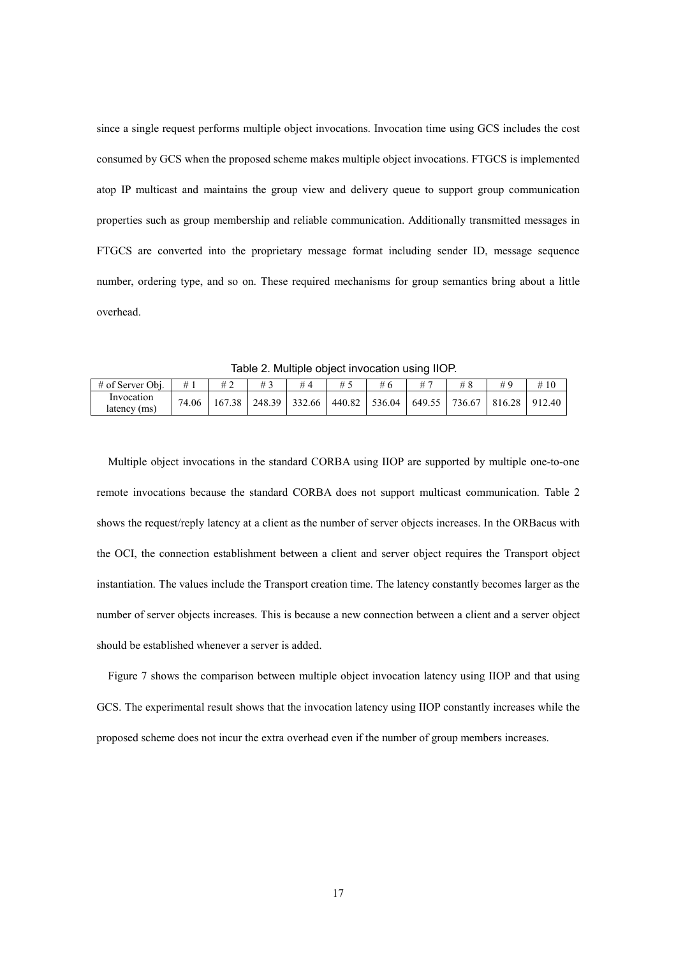since a single request performs multiple object invocations. Invocation time using GCS includes the cost consumed by GCS when the proposed scheme makes multiple object invocations. FTGCS is implemented atop IP multicast and maintains the group view and delivery queue to support group communication properties such as group membership and reliable communication. Additionally transmitted messages in FTGCS are converted into the proprietary message format including sender ID, message sequence number, ordering type, and so on. These required mechanisms for group semantics bring about a little overhead.

Table 2. Multiple object invocation using IIOP.

| # of Server Obj.           | #     |  | #4 | # 5 |                                                     |  |                          |  |
|----------------------------|-------|--|----|-----|-----------------------------------------------------|--|--------------------------|--|
| Invocation<br>latency (ms) | 74.06 |  |    |     | 167.38   248.39   332.66   440.82   536.04   649.55 |  | 736.67   816.28   912.40 |  |

Multiple object invocations in the standard CORBA using IIOP are supported by multiple one-to-one remote invocations because the standard CORBA does not support multicast communication. Table 2 shows the request/reply latency at a client as the number of server objects increases. In the ORBacus with the OCI, the connection establishment between a client and server object requires the Transport object instantiation. The values include the Transport creation time. The latency constantly becomes larger as the number of server objects increases. This is because a new connection between a client and a server object should be established whenever a server is added.

Figure 7 shows the comparison between multiple object invocation latency using IIOP and that using GCS. The experimental result shows that the invocation latency using IIOP constantly increases while the proposed scheme does not incur the extra overhead even if the number of group members increases.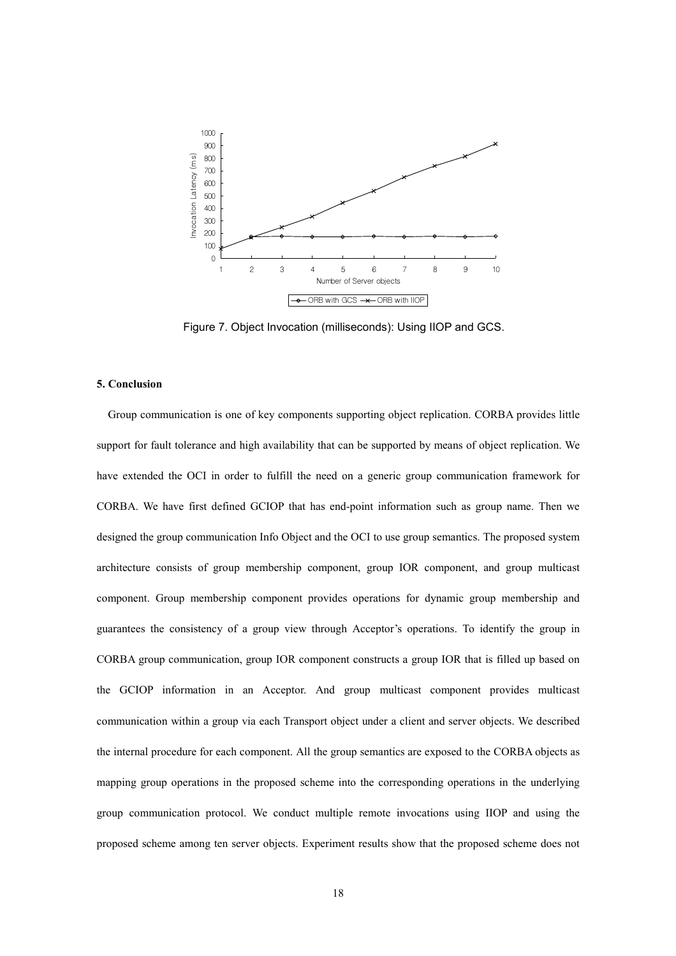

Figure 7. Object Invocation (milliseconds): Using IIOP and GCS.

#### **5. Conclusion**

Group communication is one of key components supporting object replication. CORBA provides little support for fault tolerance and high availability that can be supported by means of object replication. We have extended the OCI in order to fulfill the need on a generic group communication framework for CORBA. We have first defined GCIOP that has end-point information such as group name. Then we designed the group communication Info Object and the OCI to use group semantics. The proposed system architecture consists of group membership component, group IOR component, and group multicast component. Group membership component provides operations for dynamic group membership and guarantees the consistency of a group view through Acceptor's operations. To identify the group in CORBA group communication, group IOR component constructs a group IOR that is filled up based on the GCIOP information in an Acceptor. And group multicast component provides multicast communication within a group via each Transport object under a client and server objects. We described the internal procedure for each component. All the group semantics are exposed to the CORBA objects as mapping group operations in the proposed scheme into the corresponding operations in the underlying group communication protocol. We conduct multiple remote invocations using IIOP and using the proposed scheme among ten server objects. Experiment results show that the proposed scheme does not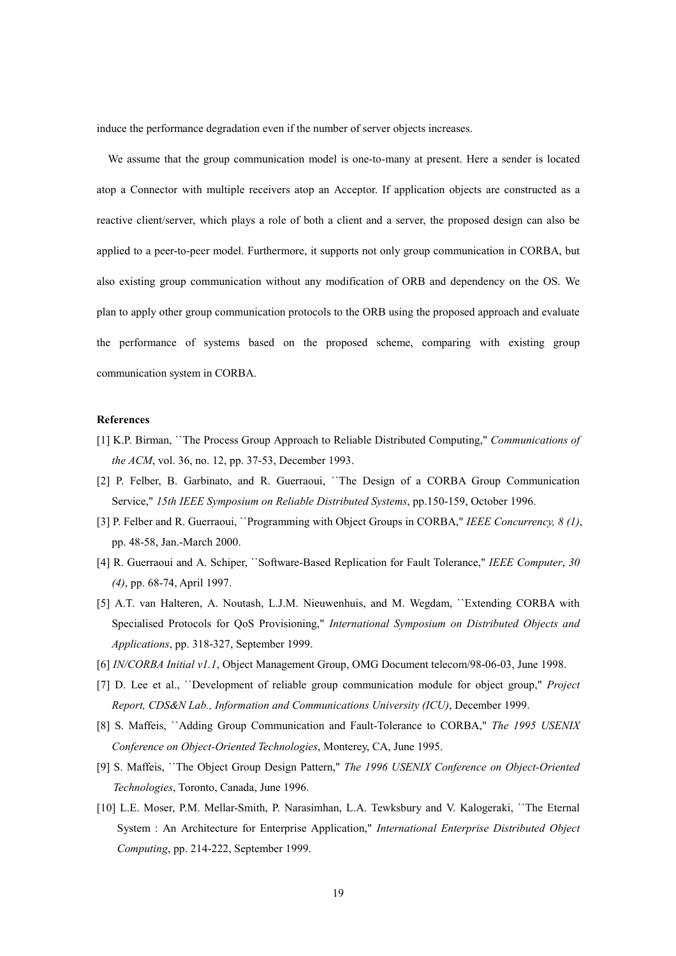induce the performance degradation even if the number of server objects increases.

We assume that the group communication model is one-to-many at present. Here a sender is located atop a Connector with multiple receivers atop an Acceptor. If application objects are constructed as a reactive client/server, which plays a role of both a client and a server, the proposed design can also be applied to a peer-to-peer model. Furthermore, it supports not only group communication in CORBA, but also existing group communication without any modification of ORB and dependency on the OS. We plan to apply other group communication protocols to the ORB using the proposed approach and evaluate the performance of systems based on the proposed scheme, comparing with existing group communication system in CORBA.

#### **References**

- [1] K.P. Birman, ``The Process Group Approach to Reliable Distributed Computing," *Communications of the ACM*, vol. 36, no. 12, pp. 37-53, December 1993.
- [2] P. Felber, B. Garbinato, and R. Guerraoui, "The Design of a CORBA Group Communication Service," *15th IEEE Symposium on Reliable Distributed Systems*, pp.150-159, October 1996.
- [3] P. Felber and R. Guerraoui, ``Programming with Object Groups in CORBA," *IEEE Concurrency, 8 (1)*, pp. 48-58, Jan.-March 2000.
- [4] R. Guerraoui and A. Schiper, ``Software-Based Replication for Fault Tolerance," *IEEE Computer*, *30 (4)*, pp. 68-74, April 1997.
- [5] A.T. van Halteren, A. Noutash, L.J.M. Nieuwenhuis, and M. Wegdam, ``Extending CORBA with Specialised Protocols for QoS Provisioning," *International Symposium on Distributed Objects and Applications*, pp. 318-327, September 1999.
- [6] *IN/CORBA Initial v1.1*, Object Management Group, OMG Document telecom/98-06-03, June 1998.
- [7] D. Lee et al., ``Development of reliable group communication module for object group," *Project Report, CDS&N Lab., Information and Communications University (ICU)*, December 1999.
- [8] S. Maffeis, ``Adding Group Communication and Fault-Tolerance to CORBA," *The 1995 USENIX Conference on Object-Oriented Technologies*, Monterey, CA, June 1995.
- [9] S. Maffeis, ``The Object Group Design Pattern," *The 1996 USENIX Conference on Object-Oriented Technologies*, Toronto, Canada, June 1996.
- [10] L.E. Moser, P.M. Mellar-Smith, P. Narasimhan, L.A. Tewksbury and V. Kalogeraki, ``The Eternal System : An Architecture for Enterprise Application," *International Enterprise Distributed Object Computing*, pp. 214-222, September 1999.